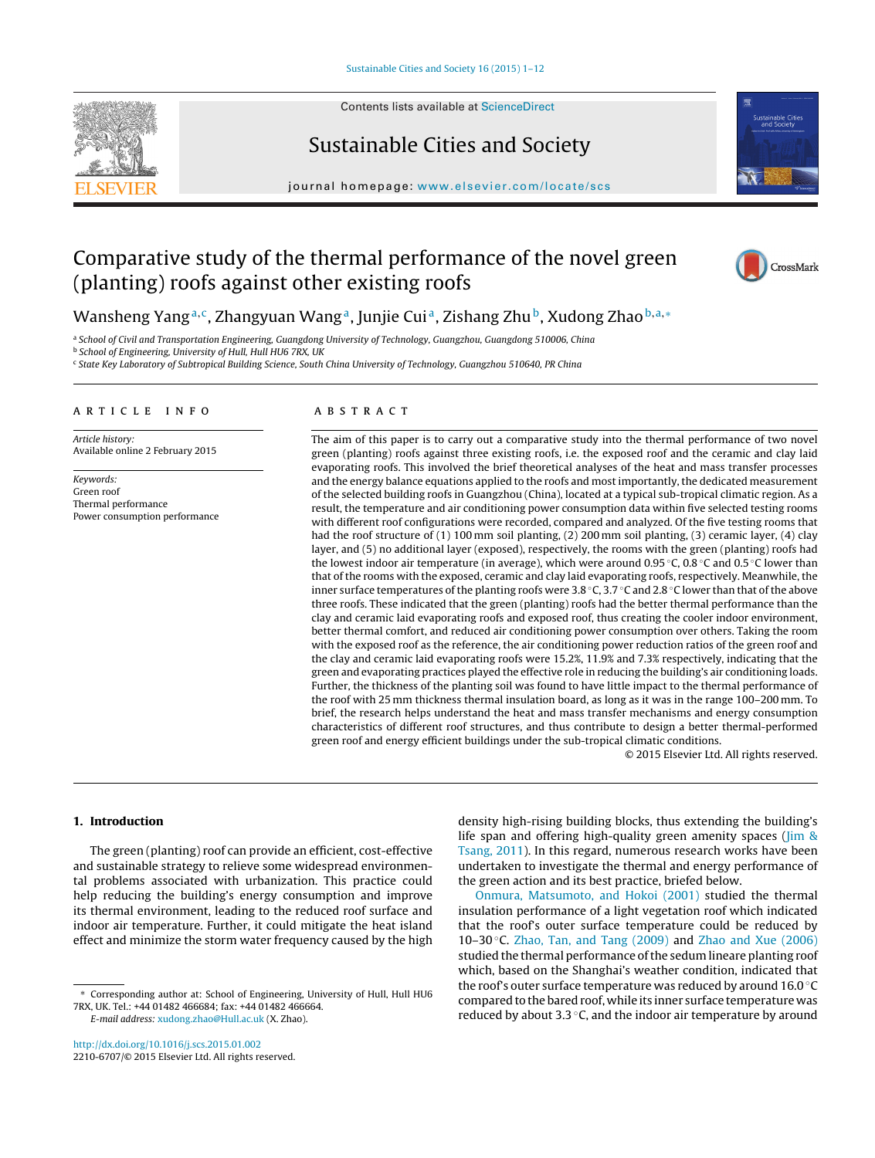

Contents lists available at [ScienceDirect](http://www.sciencedirect.com/science/journal/22106707)

# Sustainable Cities and Society



journal homepage: [www.elsevier.com/locate/scs](http://www.elsevier.com/locate/scs)

## Comparative study of the thermal performance of the novel green (planting) roofs against other existing roofs



### Wansheng Yang<sup>a,c</sup>, Zhangyuan Wang<sup>a</sup>, Junjie Cui<sup>a</sup>, Zishang Zhu<sup>b</sup>, Xudong Zhao<sup>b,a,∗</sup>

a School of Civil and Transportation Engineering, Guangdong University of Technology, Guangzhou, Guangdong 510006, China **b** School of Engineering, University of Hull, Hull HU6 7RX, UK

<sup>c</sup> State Key Laboratory of Subtropical Building Science, South China University of Technology, Guangzhou 510640, PR China

#### a r t i c l e i n f o

Article history: Available online 2 February 2015

Keywords: Green roof Thermal performance Power consumption performance

#### A B S T R A C T

The aim of this paper is to carry out a comparative study into the thermal performance of two novel green (planting) roofs against three existing roofs, i.e. the exposed roof and the ceramic and clay laid evaporating roofs. This involved the brief theoretical analyses of the heat and mass transfer processes and the energy balance equations applied to the roofs and most importantly, the dedicated measurement of the selected building roofs in Guangzhou (China), located at a typical sub-tropical climatic region. As a result, the temperature and air conditioning power consumption data within five selected testing rooms with different roof configurations were recorded, compared and analyzed. Of the five testing rooms that had the roof structure of (1) 100 mm soil planting, (2) 200 mm soil planting, (3) ceramic layer, (4) clay layer, and (5) no additional layer (exposed), respectively, the rooms with the green (planting) roofs had the lowest indoor air temperature (in average), which were around 0.95 ◦C, 0.8 ◦C and 0.5 ◦C lower than that of the rooms with the exposed, ceramic and clay laid evaporating roofs, respectively. Meanwhile, the inner surface temperatures of the planting roofs were 3.8 ◦C, 3.7 ◦C and 2.8 ◦C lower than that of the above three roofs. These indicated that the green (planting) roofs had the better thermal performance than the clay and ceramic laid evaporating roofs and exposed roof, thus creating the cooler indoor environment, better thermal comfort, and reduced air conditioning power consumption over others. Taking the room with the exposed roof as the reference, the air conditioning power reduction ratios of the green roof and the clay and ceramic laid evaporating roofs were 15.2%, 11.9% and 7.3% respectively, indicating that the green and evaporating practices played the effective role in reducing the building's air conditioning loads. Further, the thickness of the planting soil was found to have little impact to the thermal performance of the roof with 25 mm thickness thermal insulation board, as long as it was in the range 100–200 mm. To brief, the research helps understand the heat and mass transfer mechanisms and energy consumption characteristics of different roof structures, and thus contribute to design a better thermal-performed green roof and energy efficient buildings under the sub-tropical climatic conditions.

© 2015 Elsevier Ltd. All rights reserved.

#### **1. Introduction**

The green (planting) roof can provide an efficient, cost-effective and sustainable strategy to relieve some widespread environmental problems associated with urbanization. This practice could help reducing the building's energy consumption and improve its thermal environment, leading to the reduced roof surface and indoor air temperature. Further, it could mitigate the heat island effect and minimize the storm water frequency caused by the high

E-mail address: [xudong.zhao@Hull.ac.uk](mailto:xudong.zhao@Hull.ac.uk) (X. Zhao).

[http://dx.doi.org/10.1016/j.scs.2015.01.002](dx.doi.org/10.1016/j.scs.2015.01.002) 2210-6707/© 2015 Elsevier Ltd. All rights reserved. density high-rising building blocks, thus extending the building's life span and offering high-quality green amenity spaces (*[Jim](#page--1-0) [&](#page--1-0)* [Tsang,](#page--1-0) [2011\).](#page--1-0) In this regard, numerous research works have been undertaken to investigate the thermal and energy performance of the green action and its best practice, briefed below.

[Onmura,](#page--1-0) [Matsumoto,](#page--1-0) [and](#page--1-0) [Hokoi](#page--1-0) [\(2001\)](#page--1-0) studied the thermal insulation performance of a light vegetation roof which indicated that the roof's outer surface temperature could be reduced by 10–30 $\degree$ C. [Zhao,](#page--1-0) [Tan,](#page--1-0) [and](#page--1-0) [Tang](#page--1-0) [\(2009\)](#page--1-0) and [Zhao](#page--1-0) and [Xue](#page--1-0) [\(2006\)](#page--1-0) studied the thermal performance of the sedum lineare planting roof which, based on the Shanghai's weather condition, indicated that the roof's outer surface temperature was reduced by around 16.0 ◦C compared to the bared roof, while its inner surface temperature was reduced by about 3.3 ◦C, and the indoor air temperature by around

<sup>∗</sup> Corresponding author at: School of Engineering, University of Hull, Hull HU6 7RX, UK. Tel.: +44 01482 466684; fax: +44 01482 466664.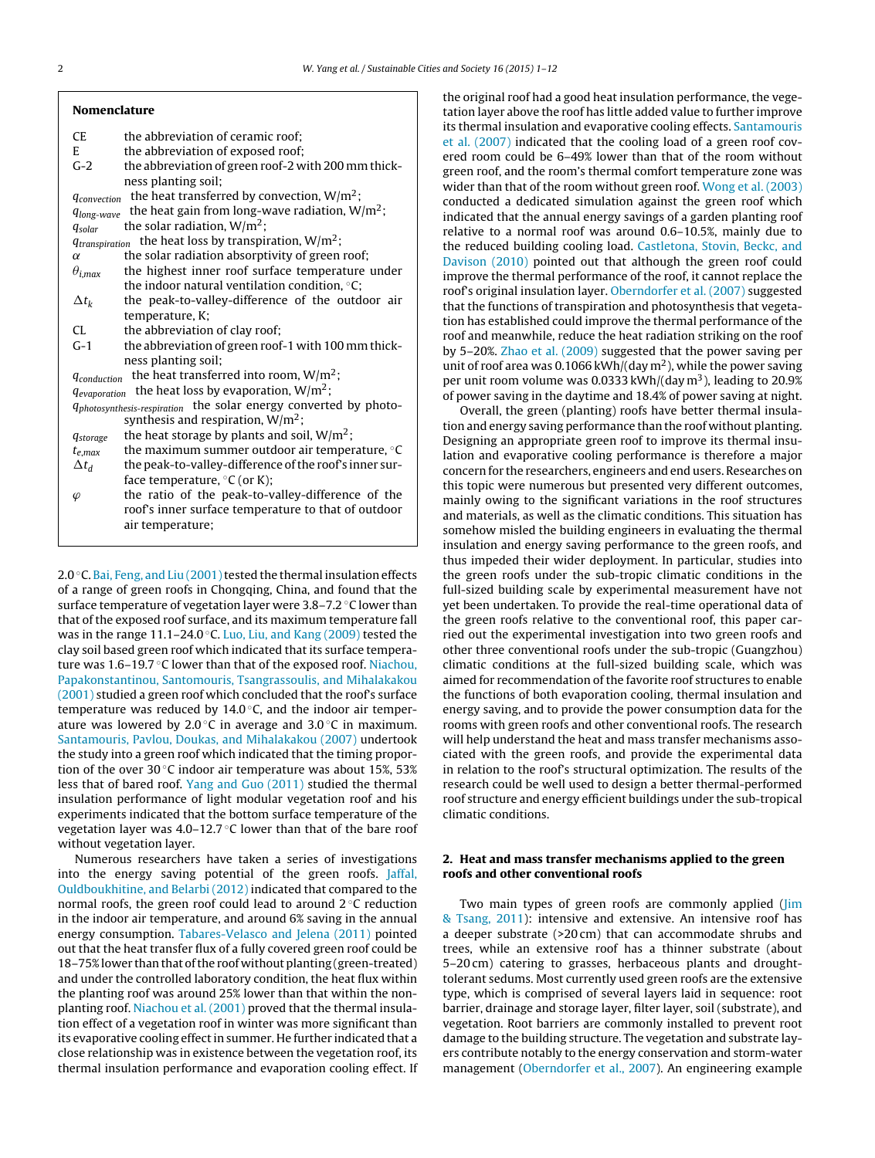| <b>Nomenclature</b>                 |                                                                                                                        |
|-------------------------------------|------------------------------------------------------------------------------------------------------------------------|
| CE                                  | the abbreviation of ceramic roof:                                                                                      |
| E.                                  | the abbreviation of exposed roof;                                                                                      |
| $G-2$                               | the abbreviation of green roof-2 with 200 mm thick-                                                                    |
|                                     | ness planting soil;                                                                                                    |
| $q_{convection}$                    | the heat transferred by convection, $W/m^2$ ;                                                                          |
| $q_{long-wave}$                     | the heat gain from long-wave radiation, $W/m^2$ ;                                                                      |
| $q_{\text{solar}}$                  | the solar radiation, $W/m^2$ ;                                                                                         |
| <i><u><b>Atranspiration</b></u></i> | the heat loss by transpiration, $W/m^2$ ;                                                                              |
| $\alpha$                            | the solar radiation absorptivity of green roof;                                                                        |
| $\theta_{i,max}$                    | the highest inner roof surface temperature under                                                                       |
|                                     | the indoor natural ventilation condition, $\circ$ C;                                                                   |
| $\Delta t_k$                        | the peak-to-valley-difference of the outdoor air                                                                       |
|                                     | temperature, K;                                                                                                        |
| CL.                                 | the abbreviation of clay roof;                                                                                         |
| $G-1$                               | the abbreviation of green roof-1 with 100 mm thick-                                                                    |
|                                     | ness planting soil;                                                                                                    |
| $q_{conduction}$                    | the heat transferred into room, $W/m^2$ ;                                                                              |
| <i><u><b>Gevaporation</b></u></i>   | the heat loss by evaporation, $W/m^2$ ;                                                                                |
|                                     | <i><b>Iphotosynthesis-respiration the solar energy converted by photo-</b></i><br>synthesis and respiration, $W/m^2$ ; |
| <i><b>Astorage</b></i>              | the heat storage by plants and soil, $W/m^2$ ;                                                                         |
| $t_{e,max}$                         | the maximum summer outdoor air temperature, °C                                                                         |
| $\Delta t_d$                        | the peak-to-valley-difference of the roof's inner sur-                                                                 |
|                                     | face temperature, $\mathrm{C}$ (or K);                                                                                 |
| $\varphi$                           | the ratio of the peak-to-valley-difference of the                                                                      |
|                                     | roof's inner surface temperature to that of outdoor                                                                    |
|                                     | air temperature;                                                                                                       |
|                                     |                                                                                                                        |

2.0 $\degree$ C. [Bai,](#page--1-0) [Feng,](#page--1-0) [and](#page--1-0) [Liu](#page--1-0) (2001) tested the thermal insulation effects of a range of green roofs in Chongqing, China, and found that the surface temperature of vegetation layer were 3.8–7.2 ◦C lower than that of the exposed roof surface, and its maximum temperature fall was in the range 11.1–24.0  $\degree$ C. [Luo,](#page--1-0) [Liu,](#page--1-0) [and](#page--1-0) [Kang](#page--1-0) [\(2009\)](#page--1-0) tested the clay soil based green roof which indicated that its surface tempera-ture was 1.6–19.7 °C lower than that of the exposed roof. [Niachou,](#page--1-0) [Papakonstantinou,](#page--1-0) [Santomouris,](#page--1-0) [Tsangrassoulis,](#page--1-0) [and](#page--1-0) [Mihalakakou](#page--1-0) [\(2001\)](#page--1-0) studied a green roof which concluded that the roof's surface temperature was reduced by  $14.0\degree$ C, and the indoor air temperature was lowered by 2.0 $\degree$ C in average and 3.0 $\degree$ C in maximum. [Santamouris,](#page--1-0) [Pavlou,](#page--1-0) [Doukas,](#page--1-0) [and](#page--1-0) [Mihalakakou](#page--1-0) [\(2007\)](#page--1-0) undertook the study into a green roof which indicated that the timing proportion of the over 30 ℃ indoor air temperature was about 15%, 53% less that of bared roof. [Yang](#page--1-0) [and](#page--1-0) [Guo](#page--1-0) [\(2011\)](#page--1-0) studied the thermal insulation performance of light modular vegetation roof and his experiments indicated that the bottom surface temperature of the vegetation layer was  $4.0-12.7$  °C lower than that of the bare roof without vegetation layer.

Numerous researchers have taken a series of investigations into the energy saving potential of the green roofs. [Jaffal,](#page--1-0) [Ouldboukhitine,](#page--1-0) [and](#page--1-0) [Belarbi](#page--1-0) [\(2012\)](#page--1-0) indicated that compared to the normal roofs, the green roof could lead to around 2 ◦C reduction in the indoor air temperature, and around 6% saving in the annual energy consumption. [Tabares-Velasco](#page--1-0) [and](#page--1-0) [Jelena](#page--1-0) [\(2011\)](#page--1-0) pointed out that the heat transfer flux of a fully covered green roof could be 18–75% lower than that of the roof without planting (green-treated) and under the controlled laboratory condition, the heat flux within the planting roof was around 25% lower than that within the nonplanting roof. [Niachou](#page--1-0) et [al.](#page--1-0) [\(2001\)](#page--1-0) proved that the thermal insulation effect of a vegetation roof in winter was more significant than its evaporative cooling effect in summer. He further indicated that a close relationship was in existence between the vegetation roof, its thermal insulation performance and evaporation cooling effect. If the original roof had a good heat insulation performance, the vegetation layer above the roof has little added value to further improve its thermal insulation and evaporative cooling effects. [Santamouris](#page--1-0) et [al.](#page--1-0) [\(2007\)](#page--1-0) indicated that the cooling load of a green roof covered room could be 6–49% lower than that of the room without green roof, and the room's thermal comfort temperature zone was wider than that of the room without green roof. [Wong](#page--1-0) et [al.](#page--1-0) [\(2003\)](#page--1-0) conducted a dedicated simulation against the green roof which indicated that the annual energy savings of a garden planting roof relative to a normal roof was around 0.6–10.5%, mainly due to the reduced building cooling load. [Castletona,](#page--1-0) [Stovin,](#page--1-0) [Beckc,](#page--1-0) [and](#page--1-0) [Davison](#page--1-0) [\(2010\)](#page--1-0) pointed out that although the green roof could improve the thermal performance of the roof, it cannot replace the roof's original insulation layer. [Oberndorfer](#page--1-0) et [al.](#page--1-0) [\(2007\)](#page--1-0) suggested that the functions of transpiration and photosynthesis that vegetation has established could improve the thermal performance of the roof and meanwhile, reduce the heat radiation striking on the roof by 5–20%. [Zhao](#page--1-0) et [al.](#page--1-0) [\(2009\)](#page--1-0) suggested that the power saving per unit of roof area was 0.1066 kWh/(day  $m<sup>2</sup>$ ), while the power saving per unit room volume was 0.0333 kWh/(day  $m<sup>3</sup>$ ), leading to 20.9% of power saving in the daytime and 18.4% of power saving at night.

Overall, the green (planting) roofs have better thermal insulation and energy saving performance than the roof without planting. Designing an appropriate green roof to improve its thermal insulation and evaporative cooling performance is therefore a major concern for the researchers, engineers and end users. Researches on this topic were numerous but presented very different outcomes, mainly owing to the significant variations in the roof structures and materials, as well as the climatic conditions. This situation has somehow misled the building engineers in evaluating the thermal insulation and energy saving performance to the green roofs, and thus impeded their wider deployment. In particular, studies into the green roofs under the sub-tropic climatic conditions in the full-sized building scale by experimental measurement have not yet been undertaken. To provide the real-time operational data of the green roofs relative to the conventional roof, this paper carried out the experimental investigation into two green roofs and other three conventional roofs under the sub-tropic (Guangzhou) climatic conditions at the full-sized building scale, which was aimed for recommendation of the favorite roof structures to enable the functions of both evaporation cooling, thermal insulation and energy saving, and to provide the power consumption data for the rooms with green roofs and other conventional roofs. The research will help understand the heat and mass transfer mechanisms associated with the green roofs, and provide the experimental data in relation to the roof's structural optimization. The results of the research could be well used to design a better thermal-performed roof structure and energy efficient buildings under the sub-tropical climatic conditions.

#### **2. Heat and mass transfer mechanisms applied to the green roofs and other conventional roofs**

Two main types of green roofs are commonly applied [\(Jim](#page--1-0) [&](#page--1-0) [Tsang,](#page--1-0) [2011\):](#page--1-0) intensive and extensive. An intensive roof has a deeper substrate (>20 cm) that can accommodate shrubs and trees, while an extensive roof has a thinner substrate (about 5–20 cm) catering to grasses, herbaceous plants and droughttolerant sedums. Most currently used green roofs are the extensive type, which is comprised of several layers laid in sequence: root barrier, drainage and storage layer, filter layer, soil (substrate), and vegetation. Root barriers are commonly installed to prevent root damage to the building structure. The vegetation and substrate layers contribute notably to the energy conservation and storm-water management ([Oberndorfer](#page--1-0) et [al.,](#page--1-0) [2007\).](#page--1-0) An engineering example